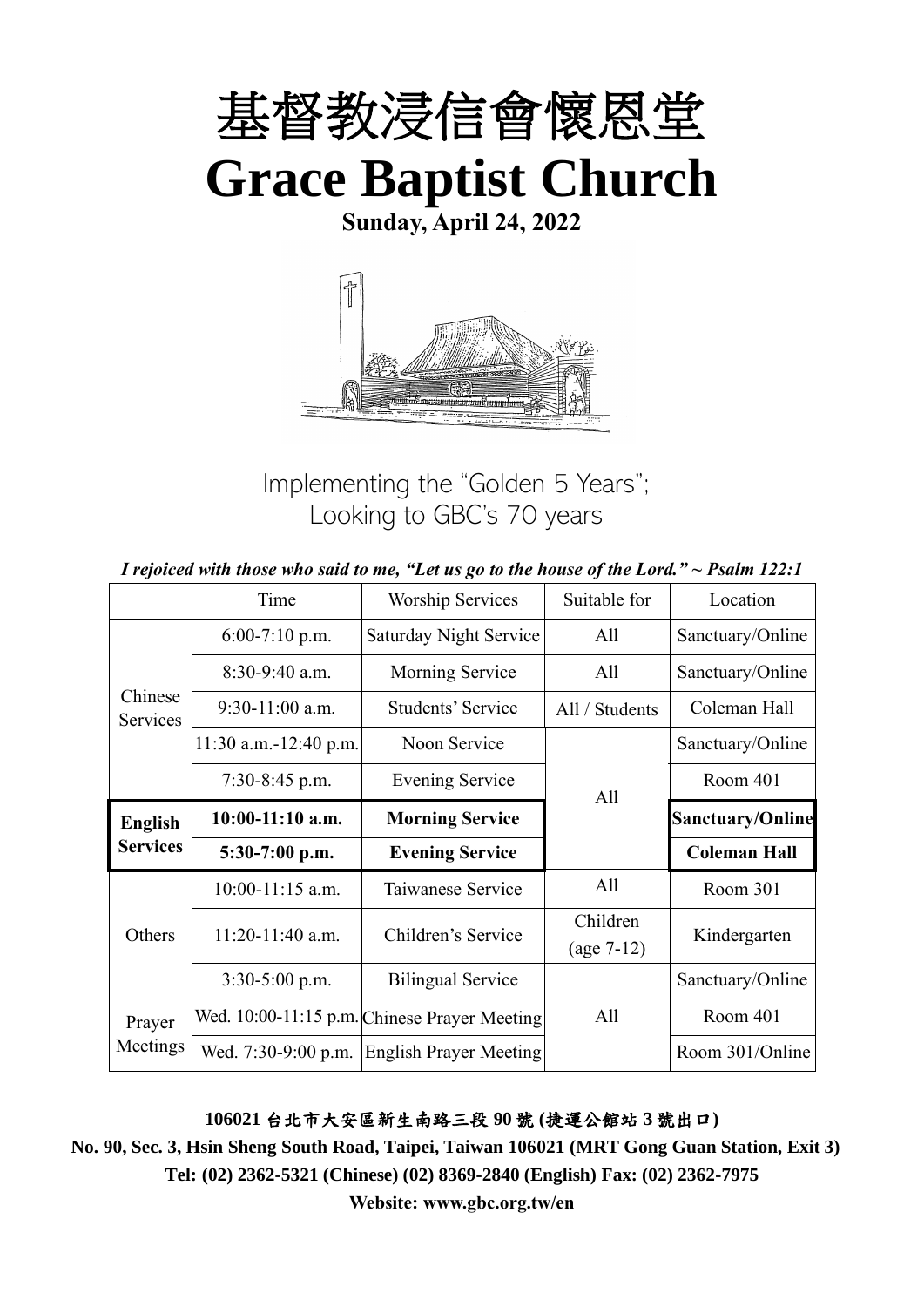

**Sunday, April 24, 2022**



Implementing the "Golden 5 Years"; Looking to GBC's 70 years

|                                   | Time                    | Worship Services                             | Suitable for             | Location                |
|-----------------------------------|-------------------------|----------------------------------------------|--------------------------|-------------------------|
| Chinese<br>Services               | $6:00-7:10$ p.m.        | <b>Saturday Night Service</b>                | All                      | Sanctuary/Online        |
|                                   | $8:30-9:40$ a.m.        | Morning Service                              | All                      | Sanctuary/Online        |
|                                   | $9:30-11:00$ a.m.       | Students' Service                            | All / Students           | Coleman Hall            |
|                                   | $11:30$ a.m.-12:40 p.m. | Noon Service                                 |                          | Sanctuary/Online        |
|                                   | $7:30-8:45$ p.m.        | <b>Evening Service</b><br>All                |                          | Room 401                |
| <b>English</b><br><b>Services</b> | $10:00-11:10$ a.m.      | <b>Morning Service</b>                       |                          | <b>Sanctuary/Online</b> |
|                                   | 5:30-7:00 p.m.          | <b>Evening Service</b>                       |                          | <b>Coleman Hall</b>     |
| Others                            | $10:00-11:15$ a.m.      | Taiwanese Service                            | All                      | Room 301                |
|                                   | $11:20-11:40$ a.m.      | Children's Service                           | Children<br>$(age 7-12)$ | Kindergarten            |
|                                   | 3:30-5:00 p.m.          | <b>Bilingual Service</b>                     |                          | Sanctuary/Online        |
| Prayer                            |                         | Wed. 10:00-11:15 p.m. Chinese Prayer Meeting | All                      | Room 401                |
| Meetings                          | Wed. 7:30-9:00 p.m.     | <b>English Prayer Meeting</b>                |                          | Room 301/Online         |

**106021** 台北市大安區新生南路三段 **90** 號 **(**捷運公館站 **3** 號出口**)**

**No. 90, Sec. 3, Hsin Sheng South Road, Taipei, Taiwan 106021 (MRT Gong Guan Station, Exit 3) Tel: (02) 2362-5321 (Chinese) (02) 8369-2840 (English) Fax: (02) 2362-7975**

**Website: www.gbc.org.tw/en**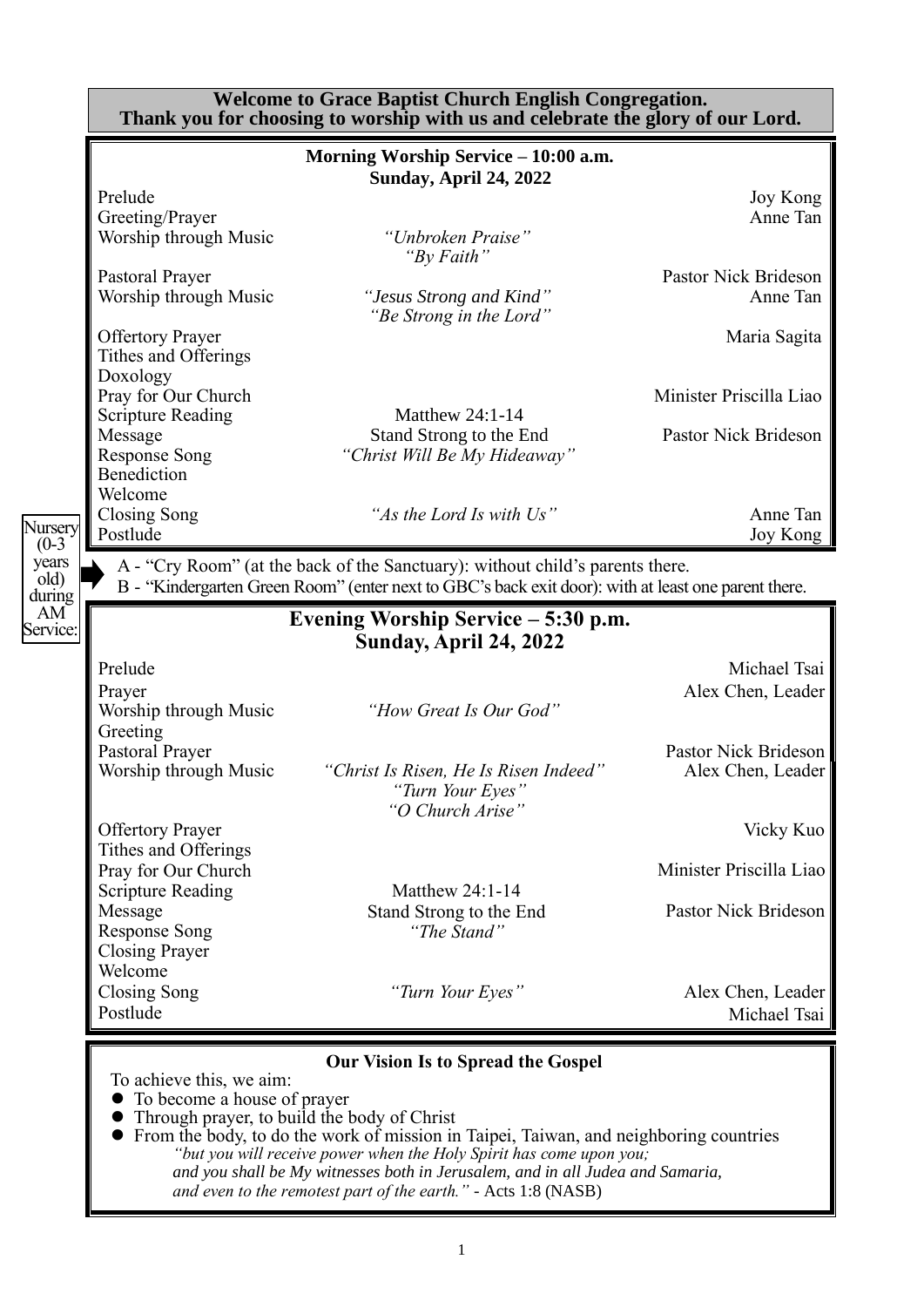|                                           |                                                                                    | <b>Welcome to Grace Baptist Church English Congregation.</b><br>Thank you for choosing to worship with us and celebrate the glory of our Lord.                                                                                                                                                                                                                                                               |                                                 |
|-------------------------------------------|------------------------------------------------------------------------------------|--------------------------------------------------------------------------------------------------------------------------------------------------------------------------------------------------------------------------------------------------------------------------------------------------------------------------------------------------------------------------------------------------------------|-------------------------------------------------|
|                                           |                                                                                    | Morning Worship Service - 10:00 a.m.<br><b>Sunday, April 24, 2022</b>                                                                                                                                                                                                                                                                                                                                        |                                                 |
|                                           | Prelude<br>Greeting/Prayer<br>Worship through Music                                | "Unbroken Praise"                                                                                                                                                                                                                                                                                                                                                                                            | Joy Kong<br>Anne Tan                            |
|                                           | Pastoral Prayer<br>Worship through Music                                           | "By Faith"<br>"Jesus Strong and Kind"<br>"Be Strong in the Lord"                                                                                                                                                                                                                                                                                                                                             | Pastor Nick Brideson<br>Anne Tan                |
|                                           | <b>Offertory Prayer</b><br>Tithes and Offerings<br>Doxology                        |                                                                                                                                                                                                                                                                                                                                                                                                              | Maria Sagita                                    |
|                                           | Pray for Our Church<br><b>Scripture Reading</b>                                    | <b>Matthew 24:1-14</b>                                                                                                                                                                                                                                                                                                                                                                                       | Minister Priscilla Liao                         |
|                                           | Message<br><b>Response Song</b><br>Benediction<br>Welcome                          | Stand Strong to the End<br>"Christ Will Be My Hideaway"                                                                                                                                                                                                                                                                                                                                                      | Pastor Nick Brideson                            |
| Nursery<br>$(0-3)$                        | <b>Closing Song</b><br>Postlude                                                    | "As the Lord Is with Us"                                                                                                                                                                                                                                                                                                                                                                                     | Anne Tan<br>Joy Kong                            |
| years<br>$\left[$ old $\right)$<br>during |                                                                                    | A - "Cry Room" (at the back of the Sanctuary): without child's parents there.<br>B - "Kindergarten Green Room" (enter next to GBC's back exit door): with at least one parent there.                                                                                                                                                                                                                         |                                                 |
| AM <sup>-</sup><br>Service:               |                                                                                    | Evening Worship Service – 5:30 p.m.<br><b>Sunday, April 24, 2022</b>                                                                                                                                                                                                                                                                                                                                         |                                                 |
|                                           | Prelude<br>Prayer<br>Worship through Music<br>Greeting                             | "How Great Is Our God"                                                                                                                                                                                                                                                                                                                                                                                       | Michael Tsai<br>Alex Chen, Leader               |
|                                           | Pastoral Prayer<br>Worship through Music                                           | "Christ Is Risen, He Is Risen Indeed"<br>"Turn Your Eyes<br>"O Church Arise"                                                                                                                                                                                                                                                                                                                                 | Pastor Nick Brideson<br>Alex Chen, Leader       |
|                                           | <b>Offertory Prayer</b><br>Tithes and Offerings                                    |                                                                                                                                                                                                                                                                                                                                                                                                              | Vicky Kuo                                       |
|                                           | Pray for Our Church<br><b>Scripture Reading</b><br>Message<br><b>Response Song</b> | Matthew 24:1-14<br>Stand Strong to the End<br>"The Stand"                                                                                                                                                                                                                                                                                                                                                    | Minister Priscilla Liao<br>Pastor Nick Brideson |
|                                           | <b>Closing Prayer</b><br>Welcome<br>Closing Song<br>Postlude                       | "Turn Your Eyes"                                                                                                                                                                                                                                                                                                                                                                                             | Alex Chen, Leader<br>Michael Tsai               |
|                                           | To achieve this, we aim:<br>To become a house of prayer                            | <b>Our Vision Is to Spread the Gospel</b><br>Through prayer, to build the body of Christ<br>From the body, to do the work of mission in Taipei, Taiwan, and neighboring countries<br>"but you will receive power when the Holy Spirit has come upon you;<br>and you shall be My witnesses both in Jerusalem, and in all Judea and Samaria,<br>and even to the remotest part of the earth." - Acts 1:8 (NASB) |                                                 |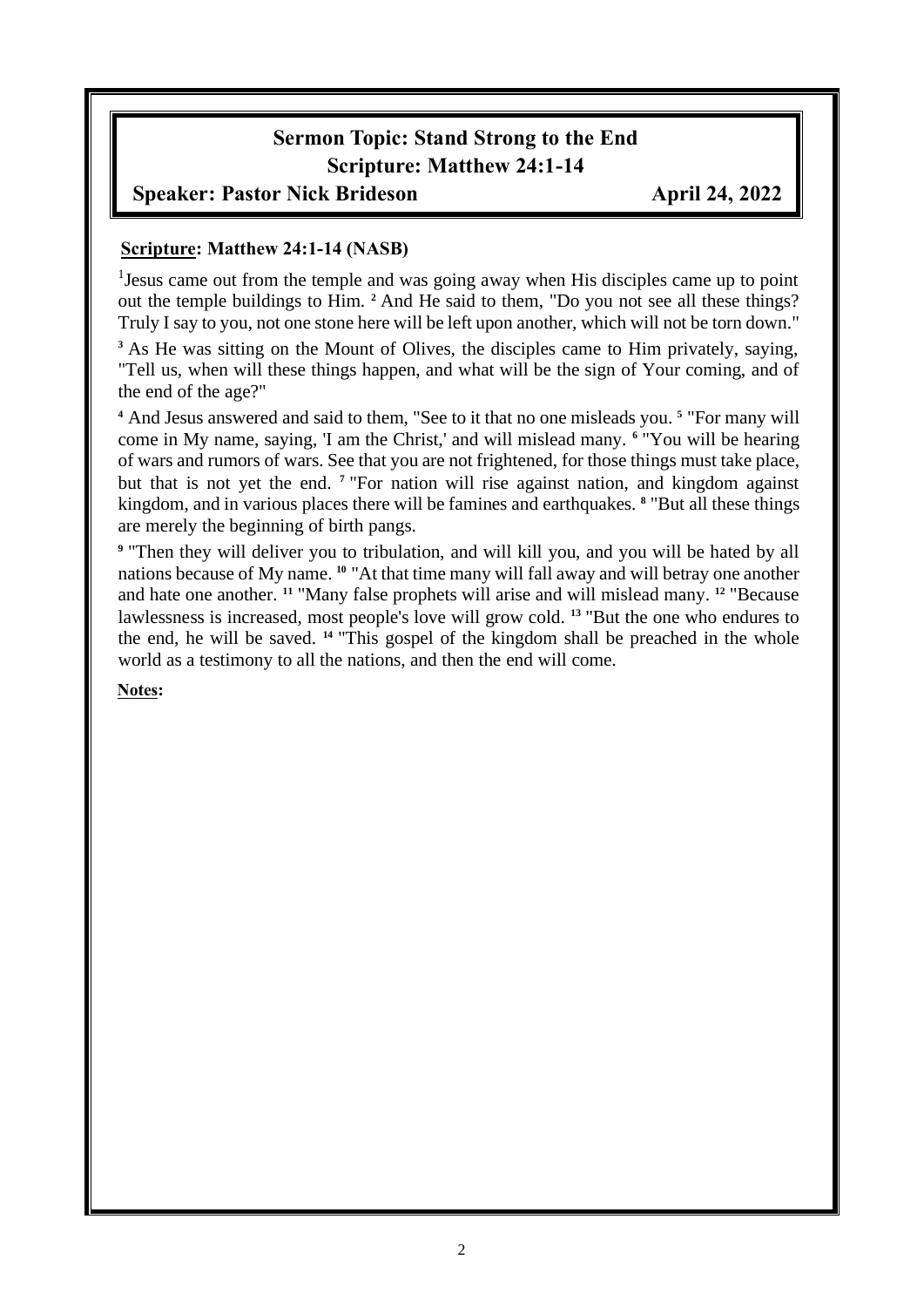# **Sermon Topic: Stand Strong to the End Scripture: Matthew 24:1-14**

### **Speaker: Pastor Nick Brideson April 24, 2022**

#### **Scripture: Matthew 24:1-14 (NASB)**

<sup>1</sup> Jesus came out from the temple and was going away when His disciples came up to point out the temple buildings to Him. **<sup>2</sup>** And He said to them, "Do you not see all these things? Truly I say to you, not one stone here will be left upon another, which will not be torn down."

<sup>3</sup> As He was sitting on the Mount of Olives, the disciples came to Him privately, saying, "Tell us, when will these things happen, and what will be the sign of Your coming, and of the end of the age?"

**<sup>4</sup>** And Jesus answered and said to them, "See to it that no one misleads you. **<sup>5</sup>** "For many will come in My name, saying, 'I am the Christ,' and will mislead many. **<sup>6</sup>** "You will be hearing of wars and rumors of wars. See that you are not frightened, for those things must take place, but that is not yet the end. **<sup>7</sup>** "For nation will rise against nation, and kingdom against kingdom, and in various places there will be famines and earthquakes. **<sup>8</sup>** "But all these things are merely the beginning of birth pangs.

**9** "Then they will deliver you to tribulation, and will kill you, and you will be hated by all nations because of My name. **<sup>10</sup>** "At that time many will fall away and will betray one another and hate one another. **<sup>11</sup>** "Many false prophets will arise and will mislead many. **<sup>12</sup>** "Because lawlessness is increased, most people's love will grow cold. **<sup>13</sup>** "But the one who endures to the end, he will be saved. **<sup>14</sup>** "This gospel of the kingdom shall be preached in the whole world as a testimony to all the nations, and then the end will come.

**Notes:**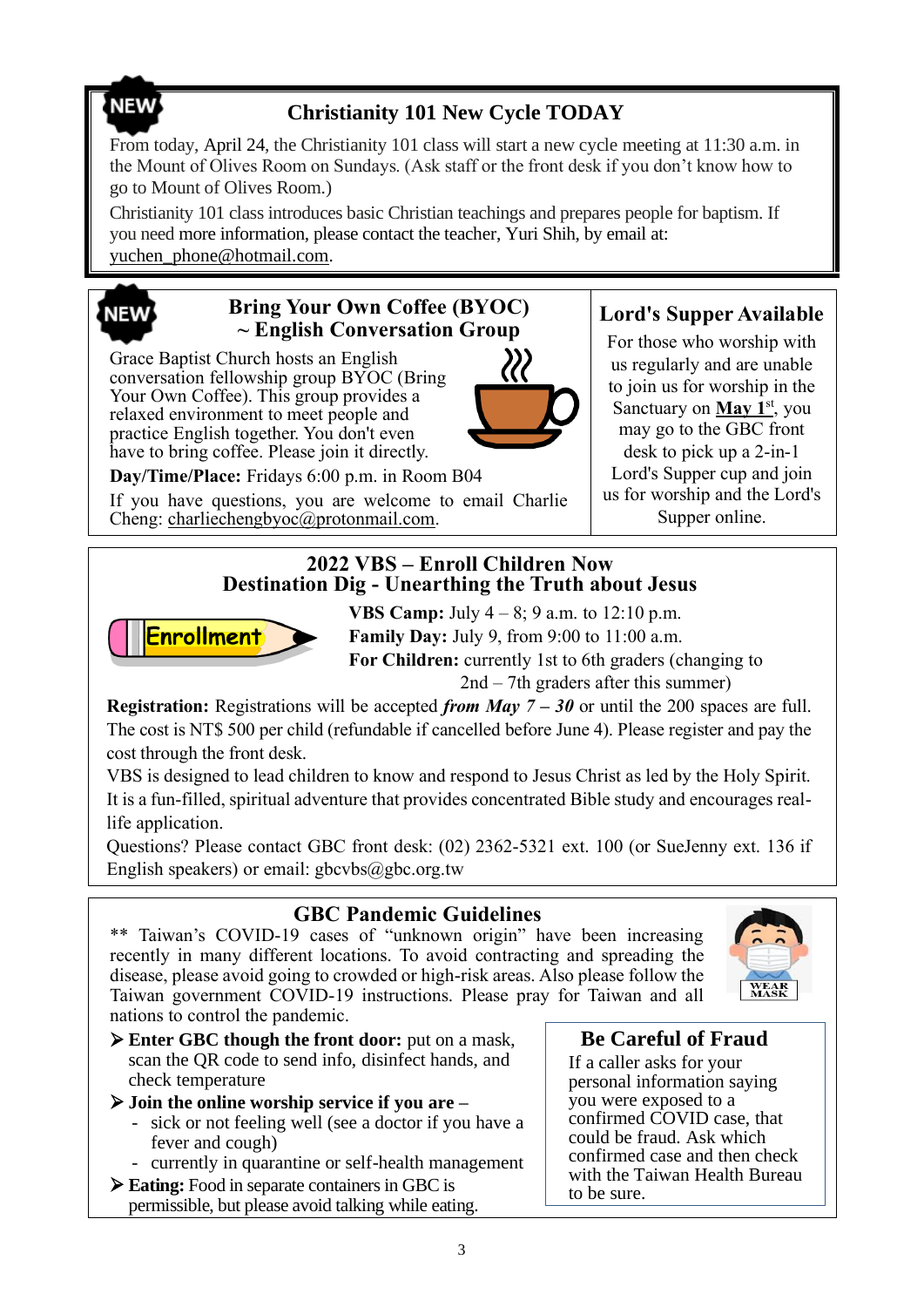# **NEW**

# **Christianity 101 New Cycle TODAY**

From today, April 24, the Christianity 101 class will start a new cycle meeting at 11:30 a.m. in the Mount of Olives Room on Sundays. (Ask staff or the front desk if you don't know how to go to Mount of Olives Room.)

Christianity 101 class introduces basic Christian teachings and prepares people for baptism. If you need more information, please contact the teacher, Yuri Shih, by email at: [yuchen\\_phone@hotmail.com.](mailto:yuchen_phone@hotmail.com)

# **NEW**

## **Bring Your Own Coffee (BYOC) ~ English Conversation Group**

Grace Baptist Church hosts an English conversation fellowship group BYOC (Bring Your Own Coffee). This group provides a relaxed environment to meet people and practice English together. You don't even have to bring coffee. Please join it directly.

**Day/Time/Place:** Fridays 6:00 p.m. in Room B04

If you have questions, you are welcome to email Charlie Cheng: charliechengbyoc@protonmail.com.

# **Lord's Supper Available**

For those who worship with us regularly and are unable to join us for worship in the Sanctuary on **May 1**<sup>st</sup>, you may go to the GBC front desk to pick up a 2-in-1 Lord's Supper cup and join us for worship and the Lord's Supper online.

#### **2022 VBS – Enroll Children Now Destination Dig - Unearthing the Truth about Jesus**



**VBS Camp:** July  $4 - 8$ ; 9 a.m. to 12:10 p.m. **Family Day:** July 9, from 9:00 to 11:00 a.m. **For Children:** currently 1st to 6th graders (changing to 2nd – 7th graders after this summer)

**Registration:** Registrations will be accepted *from May 7 – 30* or until the 200 spaces are full. The cost is NT\$ 500 per child (refundable if cancelled before June 4). Please register and pay the cost through the front desk.

VBS is designed to lead children to know and respond to Jesus Christ as led by the Holy Spirit. It is a fun-filled, spiritual adventure that provides concentrated Bible study and encourages reallife application.

Questions? Please contact GBC front desk: (02) 2362-5321 ext. 100 (or SueJenny ext. 136 if English speakers) or email:  $gbcvbs@gbc.org.tw$ 

# **GBC Pandemic Guidelines**

\*\* Taiwan's COVID-19 cases of "unknown origin" have been increasing recently in many different locations. To avoid contracting and spreading the disease, please avoid going to crowded or high-risk areas. Also please follow the Taiwan government COVID-19 instructions. Please pray for Taiwan and all nations to control the pandemic.



➢ **Enter GBC though the front door:** put on a mask, scan the QR code to send info, disinfect hands, and check temperature

#### ➢ **Join the online worship service if you are –**

- sick or not feeling well (see a doctor if you have a fever and cough)
- currently in quarantine or self-health management
- ➢ **Eating:** Food in separate containers in GBC is permissible, but please avoid talking while eating.

### **Be Careful of Fraud**

If a caller asks for your personal information saying you were exposed to a confirmed COVID case, that could be fraud. Ask which confirmed case and then check with the Taiwan Health Bureau to be sure.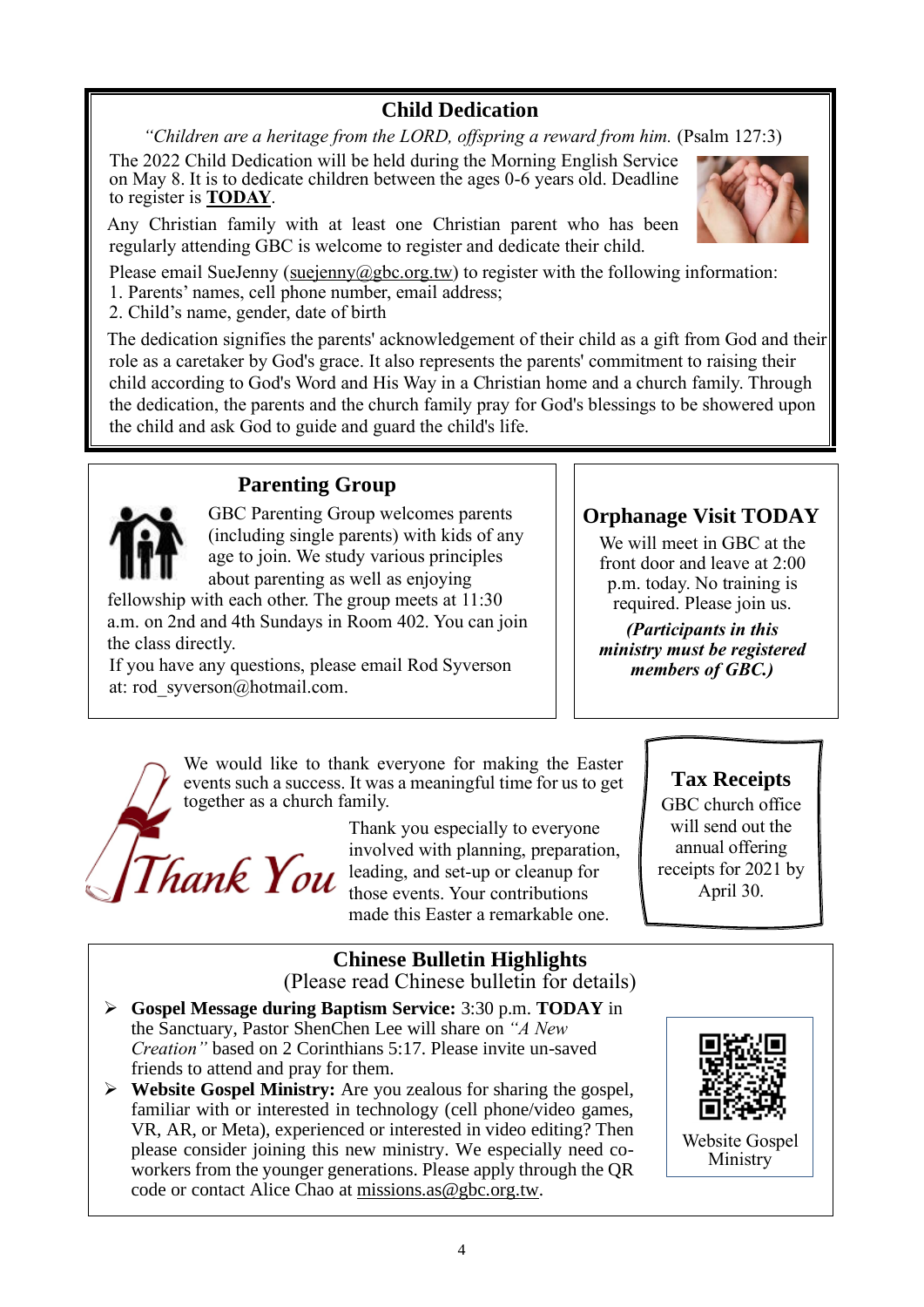# **Child Dedication**

*"Children are a heritage from the LORD, offspring a reward from him.* (Psalm 127:3)

The 2022 Child Dedication will be held during the Morning English Service on May 8. It is to dedicate children between the ages 0-6 years old. Deadline to register is **TODAY**.

Any Christian family with at least one Christian parent who has been regularly attending GBC is welcome to register and dedicate their child.



Please email SueJenny [\(suejenny@gbc.org.tw\)](mailto:suejenny@gbc.org.tw) to register with the following information:

1. Parents' names, cell phone number, email address;

2. Child's name, gender, date of birth

The dedication signifies the parents' acknowledgement of their child as a gift from God and their role as a caretaker by God's grace. It also represents the parents' commitment to raising their child according to God's Word and His Way in a Christian home and a church family. Through the dedication, the parents and the church family pray for God's blessings to be showered upon the child and ask God to guide and guard the child's life.

# **Parenting Group**

GBC Parenting Group welcomes parents (including single parents) with kids of any age to join. We study various principles about parenting as well as enjoying

fellowship with each other. The group meets at 11:30 a.m. on 2nd and 4th Sundays in Room 402. You can join the class directly.

If you have any questions, please email Rod Syverson at: [rod\\_syverson@hotmail.com.](mailto:rod_syverson@hotmail.com)

# **Orphanage Visit TODAY**

We will meet in GBC at the front door and leave at 2:00 p.m. today. No training is required. Please join us.

*(Participants in this ministry must be registered members of GBC.)*

We would like to thank everyone for making the Easter events such a success. It was a meaningful time for us to get together as a church family.

hank You

Thank you especially to everyone involved with planning, preparation, leading, and set-up or cleanup for those events. Your contributions made this Easter a remarkable one.

# **Tax Receipts**

GBC church office will send out the annual offering receipts for 2021 by April 30.

# **Chinese Bulletin Highlights**

(Please read Chinese bulletin for details)

- ➢ **Gospel Message during Baptism Service:** 3:30 p.m. **TODAY** in the Sanctuary, Pastor ShenChen Lee will share on *"A New Creation"* based on 2 Corinthians 5:17. Please invite un-saved friends to attend and pray for them.
- ➢ **Website Gospel Ministry:** Are you zealous for sharing the gospel, familiar with or interested in technology (cell phone/video games, VR, AR, or Meta), experienced or interested in video editing? Then please consider joining this new ministry. We especially need coworkers from the younger generations. Please apply through the QR code or contact Alice Chao a[t missions.as@gbc.org.tw.](mailto:missions.as@gbc.org.tw)



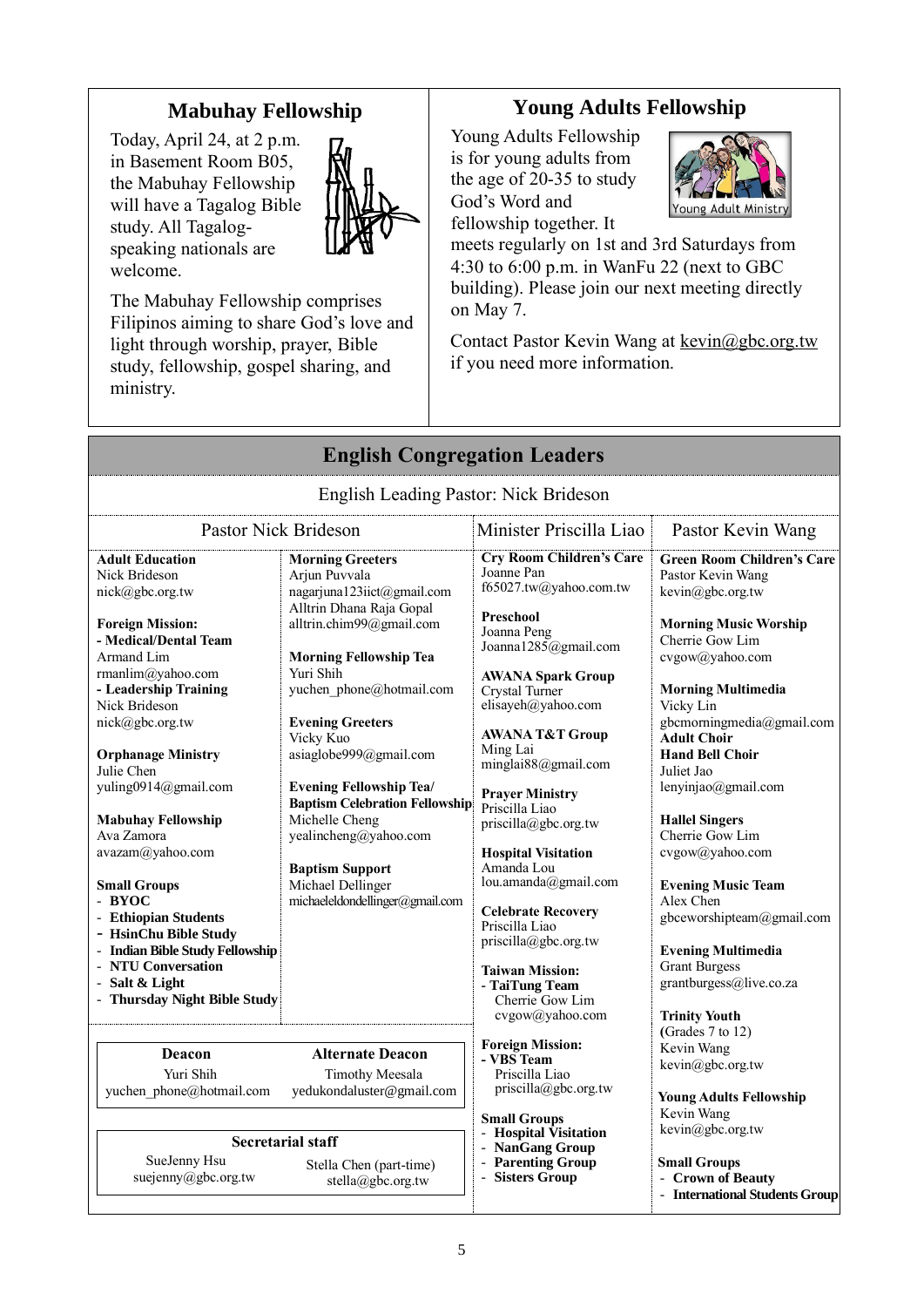### **Mabuhay Fellowship**

Today, April 24, at 2 p.m. in Basement Room B05, the Mabuhay Fellowship will have a Tagalog Bible study. All Tagalogspeaking nationals are welcome.



The Mabuhay Fellowship comprises Filipinos aiming to share God's love and light through worship, prayer, Bible study, fellowship, gospel sharing, and ministry.

# **Young Adults Fellowship**

Young Adults Fellowship is for young adults from the age of 20-35 to study God's Word and fellowship together. It



meets regularly on 1st and 3rd Saturdays from 4:30 to 6:00 p.m. in WanFu 22 (next to GBC building). Please join our next meeting directly on May 7.

Contact Pastor Kevin Wang at kevin@gbc.org.tw if you need more information.

|                                                                                                                                                                                                                                                                                                                                                                                                                                                                                                                                                         | <b>English Congregation Leaders</b>                                                                                                                                                                                                                                                                                                                                                                                                                                                |                                                                                                                                                                                                                                                                                                                                                                                                                                                                                                                                                                   |                                                                                                                                                                                                                                                                                                                                                                                                                                                                                                                                                            |
|---------------------------------------------------------------------------------------------------------------------------------------------------------------------------------------------------------------------------------------------------------------------------------------------------------------------------------------------------------------------------------------------------------------------------------------------------------------------------------------------------------------------------------------------------------|------------------------------------------------------------------------------------------------------------------------------------------------------------------------------------------------------------------------------------------------------------------------------------------------------------------------------------------------------------------------------------------------------------------------------------------------------------------------------------|-------------------------------------------------------------------------------------------------------------------------------------------------------------------------------------------------------------------------------------------------------------------------------------------------------------------------------------------------------------------------------------------------------------------------------------------------------------------------------------------------------------------------------------------------------------------|------------------------------------------------------------------------------------------------------------------------------------------------------------------------------------------------------------------------------------------------------------------------------------------------------------------------------------------------------------------------------------------------------------------------------------------------------------------------------------------------------------------------------------------------------------|
|                                                                                                                                                                                                                                                                                                                                                                                                                                                                                                                                                         | English Leading Pastor: Nick Brideson                                                                                                                                                                                                                                                                                                                                                                                                                                              |                                                                                                                                                                                                                                                                                                                                                                                                                                                                                                                                                                   |                                                                                                                                                                                                                                                                                                                                                                                                                                                                                                                                                            |
| <b>Pastor Nick Brideson</b>                                                                                                                                                                                                                                                                                                                                                                                                                                                                                                                             |                                                                                                                                                                                                                                                                                                                                                                                                                                                                                    | Minister Priscilla Liao                                                                                                                                                                                                                                                                                                                                                                                                                                                                                                                                           | Pastor Kevin Wang                                                                                                                                                                                                                                                                                                                                                                                                                                                                                                                                          |
| <b>Adult Education</b><br>Nick Brideson<br>$nick(\omega)$ gbc.org.tw<br><b>Foreign Mission:</b><br>- Medical/Dental Team<br>Armand Lim<br>rmanlim@yahoo.com<br>- Leadership Training<br>Nick Brideson<br>nick@gbc.org.tw<br><b>Orphanage Ministry</b><br>Julie Chen<br>yuling0914@gmail.com<br><b>Mabuhay Fellowship</b><br>Ava Zamora<br>avazam@yahoo.com<br><b>Small Groups</b><br>- BYOC<br>- Ethiopian Students<br>- HsinChu Bible Study<br>- Indian Bible Study Fellowship<br>- NTU Conversation<br>- Salt & Light<br>- Thursday Night Bible Study | <b>Morning Greeters</b><br>Arjun Puvvala<br>nagarjuna123iict@gmail.com<br>Alltrin Dhana Raja Gopal<br>alltrin.chim99@gmail.com<br><b>Morning Fellowship Tea</b><br>Yuri Shih<br>yuchen phone@hotmail.com<br><b>Evening Greeters</b><br>Vicky Kuo<br>asiaglobe999@gmail.com<br><b>Evening Fellowship Tea/</b><br><b>Baptism Celebration Fellowship</b><br>Michelle Cheng<br>yealincheng@yahoo.com<br><b>Baptism Support</b><br>Michael Dellinger<br>michaeleldondellinger@gmail.com | <b>Cry Room Children's Care</b><br>Joanne Pan<br>f65027.tw@yahoo.com.tw<br>Preschool<br>Joanna Peng<br>Joanna1285@gmail.com<br><b>AWANA Spark Group</b><br>Crystal Turner<br>elisayeh@yahoo.com<br><b>AWANA T&amp;T Group</b><br>Ming Lai<br>minglai88@gmail.com<br><b>Prayer Ministry</b><br>Priscilla Liao<br>priscilla@gbc.org.tw<br><b>Hospital Visitation</b><br>Amanda Lou<br>lou.amanda@gmail.com<br><b>Celebrate Recovery</b><br>Priscilla Liao<br>priscilla@gbc.org.tw<br><b>Taiwan Mission:</b><br>- TaiTung Team<br>Cherrie Gow Lim<br>cvgow@yahoo.com | <b>Green Room Children's Care</b><br>Pastor Kevin Wang<br>kevin@gbc.org.tw<br><b>Morning Music Worship</b><br>Cherrie Gow Lim<br>cvgow@yahoo.com<br><b>Morning Multimedia</b><br>Vicky Lin<br>gbcmorningmedia@gmail.com<br><b>Adult Choir</b><br><b>Hand Bell Choir</b><br>Juliet Jao<br>lenyinjao@gmail.com<br><b>Hallel Singers</b><br>Cherrie Gow Lim<br>cvgow@yahoo.com<br><b>Evening Music Team</b><br>Alex Chen<br>gbceworshipteam@gmail.com<br><b>Evening Multimedia</b><br><b>Grant Burgess</b><br>grantburgess@live.co.za<br><b>Trinity Youth</b> |
| Deacon<br>Yuri Shih<br>yuchen phone@hotmail.com<br>SueJenny Hsu<br>suejenny@gbc.org.tw                                                                                                                                                                                                                                                                                                                                                                                                                                                                  | <b>Alternate Deacon</b><br><b>Timothy Meesala</b><br>yedukondaluster@gmail.com<br><b>Secretarial staff</b><br>Stella Chen (part-time)<br>stella@gbc.org.tw                                                                                                                                                                                                                                                                                                                         | <b>Foreign Mission:</b><br>- VBS Team<br>Priscilla Liao<br>priscilla@gbc.org.tw<br><b>Small Groups</b><br><b>Hospital Visitation</b><br>- NanGang Group<br>- Parenting Group<br>- Sisters Group                                                                                                                                                                                                                                                                                                                                                                   | (Grades 7 to 12)<br>Kevin Wang<br>kevin@gbc.org.tw<br><b>Young Adults Fellowship</b><br>Kevin Wang<br>kevin@gbc.org.tw<br><b>Small Groups</b><br>- Crown of Beauty<br>- International Students Group                                                                                                                                                                                                                                                                                                                                                       |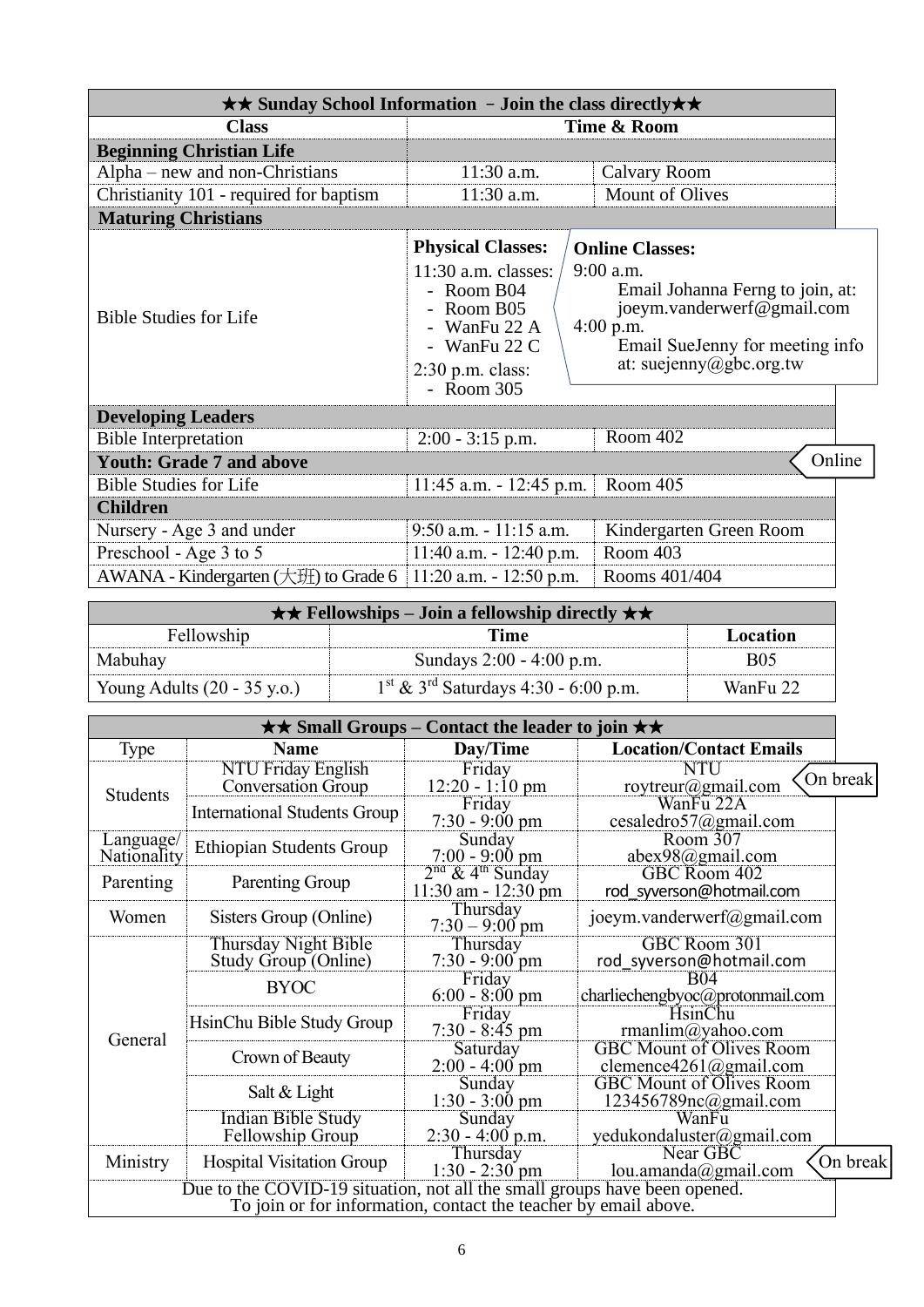| $\star\star$ Sunday School Information - Join the class directly $\star\star$ |                                                                                                                         |                                                                                                                                                          |  |
|-------------------------------------------------------------------------------|-------------------------------------------------------------------------------------------------------------------------|----------------------------------------------------------------------------------------------------------------------------------------------------------|--|
| <b>Class</b>                                                                  | Time & Room                                                                                                             |                                                                                                                                                          |  |
| <b>Beginning Christian Life</b>                                               |                                                                                                                         |                                                                                                                                                          |  |
| $Alpha$ – new and non-Christians                                              | $11:30$ a.m.                                                                                                            | <b>Calvary Room</b>                                                                                                                                      |  |
| Christianity 101 - required for baptism                                       | 11:30 a.m.                                                                                                              | <b>Mount of Olives</b>                                                                                                                                   |  |
| <b>Maturing Christians</b>                                                    |                                                                                                                         |                                                                                                                                                          |  |
|                                                                               | <b>Physical Classes:</b>                                                                                                | <b>Online Classes:</b>                                                                                                                                   |  |
| <b>Bible Studies for Life</b>                                                 | $11:30$ a.m. classes:<br>- Room $B04$<br>Room B05<br>WanFu 22 A<br>- WanFu $22 C$<br>$2:30$ p.m. class:<br>$-$ Room 305 | 9:00 a.m.<br>Email Johanna Ferng to join, at:<br>joeym.vanderwerf@gmail.com<br>$4:00$ p.m.<br>Email SueJenny for meeting info<br>at: suejenny@gbc.org.tw |  |
| <b>Developing Leaders</b>                                                     |                                                                                                                         |                                                                                                                                                          |  |
| <b>Bible Interpretation</b>                                                   | $2:00 - 3:15$ p.m.                                                                                                      | Room 402                                                                                                                                                 |  |
| <b>Youth: Grade 7 and above</b>                                               |                                                                                                                         | Online                                                                                                                                                   |  |
| <b>Bible Studies for Life</b>                                                 | $11:45$ a.m. $-12:45$ p.m.                                                                                              | Room 405                                                                                                                                                 |  |
| <b>Children</b>                                                               |                                                                                                                         |                                                                                                                                                          |  |
| Nursery - Age 3 and under                                                     | $9:50$ a.m. $-11:15$ a.m.<br>Kindergarten Green Room                                                                    |                                                                                                                                                          |  |
| Preschool - Age 3 to 5                                                        | $11:40$ a.m. $-12:40$ p.m.                                                                                              | Room 403                                                                                                                                                 |  |
| AWANA - Kindergarten $(\pm 1)$ to Grade 6                                     | $11:20$ a.m. $-12:50$ p.m.                                                                                              | Rooms 401/404                                                                                                                                            |  |

|                                       | $\star \star$ Fellowships – Join a fellowship directly $\star \star$ |            |  |
|---------------------------------------|----------------------------------------------------------------------|------------|--|
| Fellowship                            | Time                                                                 | Location   |  |
| Mabuhay                               | Sundays 2:00 - 4:00 p.m.                                             | <b>B05</b> |  |
| Young Adults $(20 - 35 \text{ y.o.})$ | $1^{\text{st}}$ & 3 <sup>rd</sup> Saturdays 4:30 - 6:00 p.m.         | WanFu 22   |  |

| $\star\star$ Small Groups – Contact the leader to join $\star\star$                                                                          |                                                        |                                                           |                                                           |          |
|----------------------------------------------------------------------------------------------------------------------------------------------|--------------------------------------------------------|-----------------------------------------------------------|-----------------------------------------------------------|----------|
| Type                                                                                                                                         | <b>Name</b>                                            | Day/Time                                                  | <b>Location/Contact Emails</b>                            |          |
| <b>Students</b>                                                                                                                              | <b>NTU Friday English</b><br><b>Conversation Group</b> | Friday<br>$12:20 - 1:10$ pm                               | NTU<br>roytreur@gmail.com                                 | On break |
|                                                                                                                                              | <b>International Students Group</b>                    | Friday<br>$7:30 - 9:00$ pm                                | WanFu 22A<br>cesaledro57@gmail.com                        |          |
| Language/<br>Nationality                                                                                                                     | <b>Ethiopian Students Group</b>                        | Sunday<br>$7:00 - 9:00 \text{ pm}$                        | Room 307<br>abex98@gmail.com                              |          |
| Parenting                                                                                                                                    | Parenting Group                                        | $2nd$ & 4 <sup>th</sup> Sunday<br>$11:30$ am - $12:30$ pm | GBC Room 402<br>rod syverson@hotmail.com                  |          |
| Women                                                                                                                                        | Sisters Group (Online)                                 | Thursday<br>$7:30 - 9:00$ pm                              | joeym.vanderwerf@gmail.com                                |          |
| General                                                                                                                                      | Thursday Night Bible<br>Study Group (Online)           | Thursday<br>$7:30 - 9:00$ pm                              | GBC Room 301<br>rod syverson@hotmail.com                  |          |
|                                                                                                                                              | <b>BYOC</b>                                            | Friday<br>$6:00 - 8:00 \text{ pm}$                        | B04<br>charliechengbyoc@protonmail.com                    |          |
|                                                                                                                                              | HsinChu Bible Study Group                              | Friday<br>$7:30 - 8:45$ pm                                | HsinChu<br>rmanlim@yahoo.com                              |          |
|                                                                                                                                              | Crown of Beauty                                        | Saturday<br>$2:00 - 4:00$ pm                              | <b>GBC Mount of Olives Room</b><br>clemence4261@gmail.com |          |
|                                                                                                                                              | Salt & Light                                           | Sunday<br>$1:30 - 3:00$ pm                                | <b>GBC Mount of Olives Room</b><br>123456789nc@gmail.com  |          |
|                                                                                                                                              | Indian Bible Study<br>Fellowship Group                 | Sunday<br>$2:30 - 4:00$ p.m.                              | WanFu<br>yedukondaluster@gmail.com                        |          |
| Ministry                                                                                                                                     | <b>Hospital Visitation Group</b>                       | Thursday<br>$1:30 - 2:30$ pm                              | Near GBC<br>lou.amanda@gmail.com                          | On break |
| Due to the COVID-19 situation, not all the small groups have been opened.<br>To join or for information, contact the teacher by email above. |                                                        |                                                           |                                                           |          |